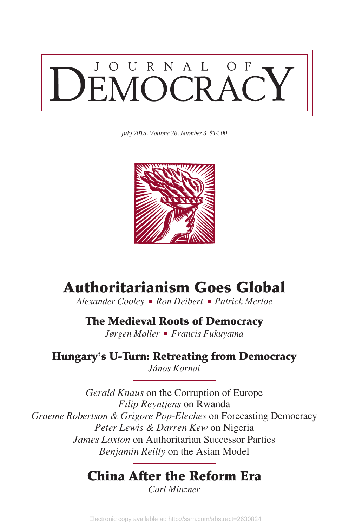# JOURNAL OF

*July 2015, Volume 26, Number 3 \$14.00*



# Authoritarianism Goes Global

*Alexander Cooley Ron Deibert Patrick Merloe*

## The Medieval Roots of Democracy

*Jørgen Møller Francis Fukuyama*

### Hungary**'**s U-Turn: Retreating from Democracy

*János Kornai*

*Gerald Knaus* on the Corruption of Europe *Filip Reyntjens* on Rwanda *Graeme Robertson & Grigore Pop-Eleches* on Forecasting Democracy *Peter Lewis & Darren Kew* on Nigeria *James Loxton* on Authoritarian Successor Parties *Benjamin Reilly* on the Asian Model

# China After the Reform Era

*Carl Minzner*

Electronic copy available at: http://ssrn.com/abstract=2630824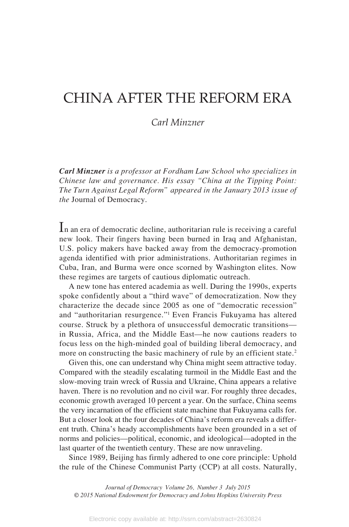## China After the Reform Era

#### *Carl Minzner*

*Carl Minzner is a professor at Fordham Law School who specializes in Chinese law and governance. His essay "China at the Tipping Point: The Turn Against Legal Reform" appeared in the January 2013 issue of the* Journal of Democracy.

In an era of democratic decline, authoritarian rule is receiving a careful new look. Their fingers having been burned in Iraq and Afghanistan, U.S. policy makers have backed away from the democracy-promotion agenda identified with prior administrations. Authoritarian regimes in Cuba, Iran, and Burma were once scorned by Washington elites. Now these regimes are targets of cautious diplomatic outreach.

A new tone has entered academia as well. During the 1990s, experts spoke confidently about a "third wave" of democratization. Now they characterize the decade since 2005 as one of "democratic recession" and "authoritarian resurgence."1 Even Francis Fukuyama has altered course. Struck by a plethora of unsuccessful democratic transitions in Russia, Africa, and the Middle East—he now cautions readers to focus less on the high-minded goal of building liberal democracy, and more on constructing the basic machinery of rule by an efficient state.<sup>2</sup>

Given this, one can understand why China might seem attractive today. Compared with the steadily escalating turmoil in the Middle East and the slow-moving train wreck of Russia and Ukraine, China appears a relative haven. There is no revolution and no civil war. For roughly three decades, economic growth averaged 10 percent a year. On the surface, China seems the very incarnation of the efficient state machine that Fukuyama calls for. But a closer look at the four decades of China's reform era reveals a different truth. China's heady accomplishments have been grounded in a set of norms and policies—political, economic, and ideological—adopted in the last quarter of the twentieth century. These are now unraveling.

Since 1989, Beijing has firmly adhered to one core principle: Uphold the rule of the Chinese Communist Party (CCP) at all costs. Naturally,

*Journal of Democracy Volume 26, Number 3 July 2015 © 2015 National Endowment for Democracy and Johns Hopkins University Press*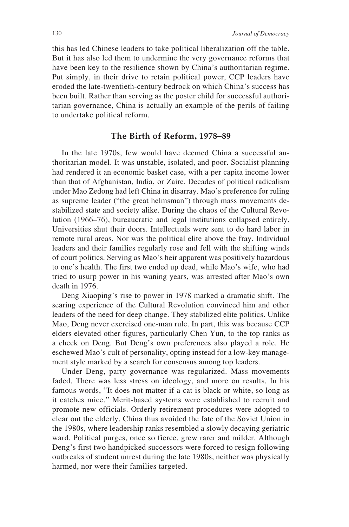this has led Chinese leaders to take political liberalization off the table. But it has also led them to undermine the very governance reforms that have been key to the resilience shown by China's authoritarian regime. Put simply, in their drive to retain political power, CCP leaders have eroded the late-twentieth-century bedrock on which China's success has been built. Rather than serving as the poster child for successful authoritarian governance, China is actually an example of the perils of failing to undertake political reform.

#### **The Birth of Reform, 1978–89**

In the late 1970s, few would have deemed China a successful authoritarian model. It was unstable, isolated, and poor. Socialist planning had rendered it an economic basket case, with a per capita income lower than that of Afghanistan, India, or Zaire. Decades of political radicalism under Mao Zedong had left China in disarray. Mao's preference for ruling as supreme leader ("the great helmsman") through mass movements destabilized state and society alike. During the chaos of the Cultural Revolution (1966–76), bureaucratic and legal institutions collapsed entirely. Universities shut their doors. Intellectuals were sent to do hard labor in remote rural areas. Nor was the political elite above the fray. Individual leaders and their families regularly rose and fell with the shifting winds of court politics. Serving as Mao's heir apparent was positively hazardous to one's health. The first two ended up dead, while Mao's wife, who had tried to usurp power in his waning years, was arrested after Mao's own death in 1976.

Deng Xiaoping's rise to power in 1978 marked a dramatic shift. The searing experience of the Cultural Revolution convinced him and other leaders of the need for deep change. They stabilized elite politics. Unlike Mao, Deng never exercised one-man rule. In part, this was because CCP elders elevated other figures, particularly Chen Yun, to the top ranks as a check on Deng. But Deng's own preferences also played a role. He eschewed Mao's cult of personality, opting instead for a low-key management style marked by a search for consensus among top leaders.

Under Deng, party governance was regularized. Mass movements faded. There was less stress on ideology, and more on results. In his famous words, "It does not matter if a cat is black or white, so long as it catches mice." Merit-based systems were established to recruit and promote new officials. Orderly retirement procedures were adopted to clear out the elderly. China thus avoided the fate of the Soviet Union in the 1980s, where leadership ranks resembled a slowly decaying geriatric ward. Political purges, once so fierce, grew rarer and milder. Although Deng's first two handpicked successors were forced to resign following outbreaks of student unrest during the late 1980s, neither was physically harmed, nor were their families targeted.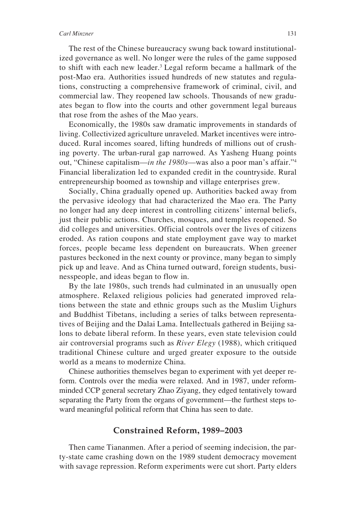The rest of the Chinese bureaucracy swung back toward institutionalized governance as well. No longer were the rules of the game supposed to shift with each new leader.3 Legal reform became a hallmark of the post-Mao era. Authorities issued hundreds of new statutes and regulations, constructing a comprehensive framework of criminal, civil, and commercial law. They reopened law schools. Thousands of new graduates began to flow into the courts and other government legal bureaus that rose from the ashes of the Mao years.

Economically, the 1980s saw dramatic improvements in standards of living. Collectivized agriculture unraveled. Market incentives were introduced. Rural incomes soared, lifting hundreds of millions out of crushing poverty. The urban-rural gap narrowed. As Yasheng Huang points out, "Chinese capitalism—*in the 1980s*—was also a poor man's affair."4 Financial liberalization led to expanded credit in the countryside. Rural entrepreneurship boomed as township and village enterprises grew.

Socially, China gradually opened up. Authorities backed away from the pervasive ideology that had characterized the Mao era. The Party no longer had any deep interest in controlling citizens' internal beliefs, just their public actions. Churches, mosques, and temples reopened. So did colleges and universities. Official controls over the lives of citizens eroded. As ration coupons and state employment gave way to market forces, people became less dependent on bureaucrats. When greener pastures beckoned in the next county or province, many began to simply pick up and leave. And as China turned outward, foreign students, businesspeople, and ideas began to flow in.

By the late 1980s, such trends had culminated in an unusually open atmosphere. Relaxed religious policies had generated improved relations between the state and ethnic groups such as the Muslim Uighurs and Buddhist Tibetans, including a series of talks between representatives of Beijing and the Dalai Lama. Intellectuals gathered in Beijing salons to debate liberal reform. In these years, even state television could air controversial programs such as *River Elegy* (1988), which critiqued traditional Chinese culture and urged greater exposure to the outside world as a means to modernize China.

Chinese authorities themselves began to experiment with yet deeper reform. Controls over the media were relaxed. And in 1987, under reformminded CCP general secretary Zhao Ziyang, they edged tentatively toward separating the Party from the organs of government—the furthest steps toward meaningful political reform that China has seen to date.

#### **Constrained Reform, 1989–2003**

Then came Tiananmen. After a period of seeming indecision, the party-state came crashing down on the 1989 student democracy movement with savage repression. Reform experiments were cut short. Party elders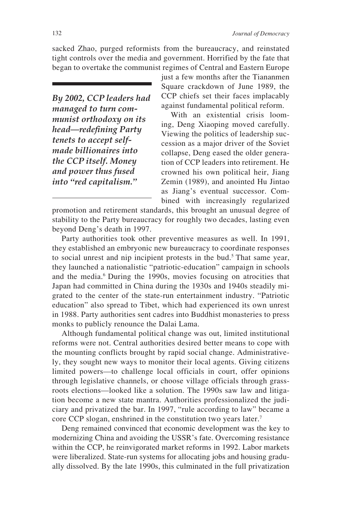sacked Zhao, purged reformists from the bureaucracy, and reinstated tight controls over the media and government. Horrified by the fate that began to overtake the communist regimes of Central and Eastern Europe

*By 2002, CCP leaders had managed to turn communist orthodoxy on its head—redefining Party tenets to accept selfmade billionaires into the CCP itself. Money and power thus fused into "red capitalism."*

just a few months after the Tiananmen Square crackdown of June 1989, the CCP chiefs set their faces implacably against fundamental political reform.

With an existential crisis looming, Deng Xiaoping moved carefully. Viewing the politics of leadership succession as a major driver of the Soviet collapse, Deng eased the older generation of CCP leaders into retirement. He crowned his own political heir, Jiang Zemin (1989), and anointed Hu Jintao as Jiang's eventual successor. Combined with increasingly regularized

promotion and retirement standards, this brought an unusual degree of stability to the Party bureaucracy for roughly two decades, lasting even beyond Deng's death in 1997.

Party authorities took other preventive measures as well. In 1991, they established an embryonic new bureaucracy to coordinate responses to social unrest and nip incipient protests in the bud.<sup>5</sup> That same year, they launched a nationalistic "patriotic-education" campaign in schools and the media.6 During the 1990s, movies focusing on atrocities that Japan had committed in China during the 1930s and 1940s steadily migrated to the center of the state-run entertainment industry. "Patriotic education" also spread to Tibet, which had experienced its own unrest in 1988. Party authorities sent cadres into Buddhist monasteries to press monks to publicly renounce the Dalai Lama.

Although fundamental political change was out, limited institutional reforms were not. Central authorities desired better means to cope with the mounting conflicts brought by rapid social change. Administratively, they sought new ways to monitor their local agents. Giving citizens limited powers—to challenge local officials in court, offer opinions through legislative channels, or choose village officials through grassroots elections—looked like a solution. The 1990s saw law and litigation become a new state mantra. Authorities professionalized the judiciary and privatized the bar. In 1997, "rule according to law" became a core CCP slogan, enshrined in the constitution two years later.7

Deng remained convinced that economic development was the key to modernizing China and avoiding the USSR's fate. Overcoming resistance within the CCP, he reinvigorated market reforms in 1992. Labor markets were liberalized. State-run systems for allocating jobs and housing gradually dissolved. By the late 1990s, this culminated in the full privatization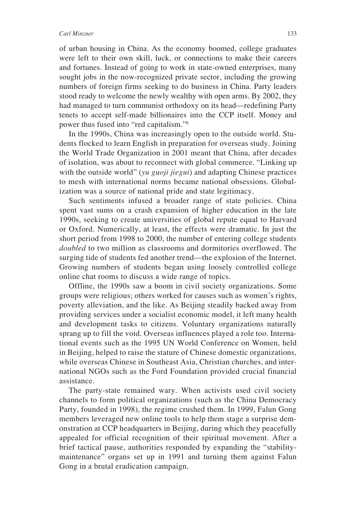of urban housing in China. As the economy boomed, college graduates were left to their own skill, luck, or connections to make their careers and fortunes. Instead of going to work in state-owned enterprises, many sought jobs in the now-recognized private sector, including the growing numbers of foreign firms seeking to do business in China. Party leaders stood ready to welcome the newly wealthy with open arms. By 2002, they had managed to turn communist orthodoxy on its head—redefining Party tenets to accept self-made billionaires into the CCP itself. Money and power thus fused into "red capitalism."8

In the 1990s, China was increasingly open to the outside world. Students flocked to learn English in preparation for overseas study. Joining the World Trade Organization in 2001 meant that China, after decades of isolation, was about to reconnect with global commerce. "Linking up with the outside world" (*yu guoji jiegui*) and adapting Chinese practices to mesh with international norms became national obsessions. Globalization was a source of national pride and state legitimacy.

Such sentiments infused a broader range of state policies. China spent vast sums on a crash expansion of higher education in the late 1990s, seeking to create universities of global repute equal to Harvard or Oxford. Numerically, at least, the effects were dramatic. In just the short period from 1998 to 2000, the number of entering college students *doubled* to two million as classrooms and dormitories overflowed. The surging tide of students fed another trend—the explosion of the Internet. Growing numbers of students began using loosely controlled college online chat rooms to discuss a wide range of topics.

Offline, the 1990s saw a boom in civil society organizations. Some groups were religious; others worked for causes such as women's rights, poverty alleviation, and the like. As Beijing steadily backed away from providing services under a socialist economic model, it left many health and development tasks to citizens. Voluntary organizations naturally sprang up to fill the void. Overseas influences played a role too. International events such as the 1995 UN World Conference on Women, held in Beijing, helped to raise the stature of Chinese domestic organizations, while overseas Chinese in Southeast Asia, Christian churches, and international NGOs such as the Ford Foundation provided crucial financial assistance.

The party-state remained wary. When activists used civil society channels to form political organizations (such as the China Democracy Party, founded in 1998), the regime crushed them. In 1999, Falun Gong members leveraged new online tools to help them stage a surprise demonstration at CCP headquarters in Beijing, during which they peacefully appealed for official recognition of their spiritual movement. After a brief tactical pause, authorities responded by expanding the "stabilitymaintenance" organs set up in 1991 and turning them against Falun Gong in a brutal eradication campaign.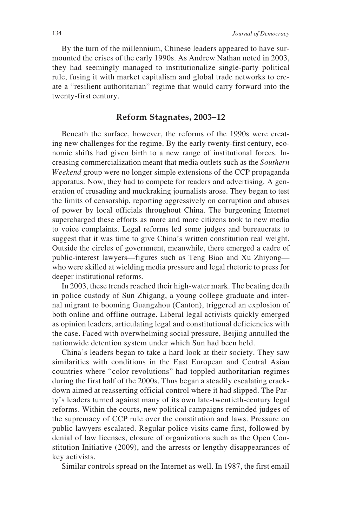By the turn of the millennium, Chinese leaders appeared to have surmounted the crises of the early 1990s. As Andrew Nathan noted in 2003, they had seemingly managed to institutionalize single-party political rule, fusing it with market capitalism and global trade networks to create a "resilient authoritarian" regime that would carry forward into the twenty-first century.

#### **Reform Stagnates, 2003–12**

Beneath the surface, however, the reforms of the 1990s were creating new challenges for the regime. By the early twenty-first century, economic shifts had given birth to a new range of institutional forces. Increasing commercialization meant that media outlets such as the *Southern Weekend* group were no longer simple extensions of the CCP propaganda apparatus. Now, they had to compete for readers and advertising. A generation of crusading and muckraking journalists arose. They began to test the limits of censorship, reporting aggressively on corruption and abuses of power by local officials throughout China. The burgeoning Internet supercharged these efforts as more and more citizens took to new media to voice complaints. Legal reforms led some judges and bureaucrats to suggest that it was time to give China's written constitution real weight. Outside the circles of government, meanwhile, there emerged a cadre of public-interest lawyers—figures such as Teng Biao and Xu Zhiyong who were skilled at wielding media pressure and legal rhetoric to press for deeper institutional reforms.

In 2003, these trends reached their high-water mark. The beating death in police custody of Sun Zhigang, a young college graduate and internal migrant to booming Guangzhou (Canton), triggered an explosion of both online and offline outrage. Liberal legal activists quickly emerged as opinion leaders, articulating legal and constitutional deficiencies with the case. Faced with overwhelming social pressure, Beijing annulled the nationwide detention system under which Sun had been held.

China's leaders began to take a hard look at their society. They saw similarities with conditions in the East European and Central Asian countries where "color revolutions" had toppled authoritarian regimes during the first half of the 2000s. Thus began a steadily escalating crackdown aimed at reasserting official control where it had slipped. The Party's leaders turned against many of its own late-twentieth-century legal reforms. Within the courts, new political campaigns reminded judges of the supremacy of CCP rule over the constitution and laws. Pressure on public lawyers escalated. Regular police visits came first, followed by denial of law licenses, closure of organizations such as the Open Constitution Initiative (2009), and the arrests or lengthy disappearances of key activists.

Similar controls spread on the Internet as well. In 1987, the first email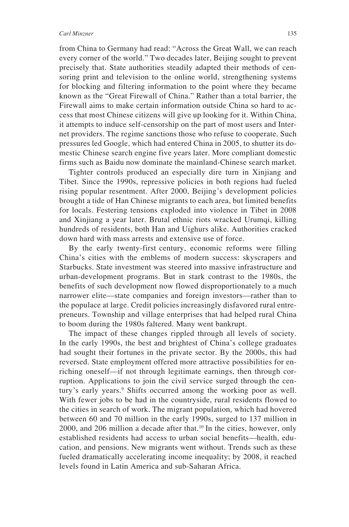from China to Germany had read: "Across the Great Wall, we can reach every corner of the world." Two decades later, Beijing sought to prevent precisely that. State authorities steadily adapted their methods of censoring print and television to the online world, strengthening systems for blocking and filtering information to the point where they became known as the "Great Firewall of China." Rather than a total barrier, the Firewall aims to make certain information outside China so hard to access that most Chinese citizens will give up looking for it. Within China, it attempts to induce self-censorship on the part of most users and Internet providers. The regime sanctions those who refuse to cooperate. Such pressures led Google, which had entered China in 2005, to shutter its domestic Chinese search engine five years later. More compliant domestic firms such as Baidu now dominate the mainland-Chinese search market.

Tighter controls produced an especially dire turn in Xinjiang and Tibet. Since the 1990s, repressive policies in both regions had fueled rising popular resentment. After 2000, Beijing's development policies brought a tide of Han Chinese migrants to each area, but limited benefits for locals. Festering tensions exploded into violence in Tibet in 2008 and Xinjiang a year later. Brutal ethnic riots wracked Urumqi, killing hundreds of residents, both Han and Uighurs alike. Authorities cracked down hard with mass arrests and extensive use of force.

By the early twenty-first century, economic reforms were filling China's cities with the emblems of modern success: skyscrapers and Starbucks. State investment was steered into massive infrastructure and urban-development programs. But in stark contrast to the 1980s, the benefits of such development now flowed disproportionately to a much narrower elite—state companies and foreign investors—rather than to the populace at large. Credit policies increasingly disfavored rural entrepreneurs. Township and village enterprises that had helped rural China to boom during the 1980s faltered. Many went bankrupt.

The impact of these changes rippled through all levels of society. In the early 1990s, the best and brightest of China's college graduates had sought their fortunes in the private sector. By the 2000s, this had reversed. State employment offered more attractive possibilities for enriching oneself—if not through legitimate earnings, then through corruption. Applications to join the civil service surged through the century's early years.<sup>9</sup> Shifts occurred among the working poor as well. With fewer jobs to be had in the countryside, rural residents flowed to the cities in search of work. The migrant population, which had hovered between 60 and 70 million in the early 1990s, surged to 137 million in 2000, and 206 million a decade after that.10 In the cities, however, only established residents had access to urban social benefits—health, education, and pensions. New migrants went without. Trends such as these fueled dramatically accelerating income inequality; by 2008, it reached levels found in Latin America and sub-Saharan Africa.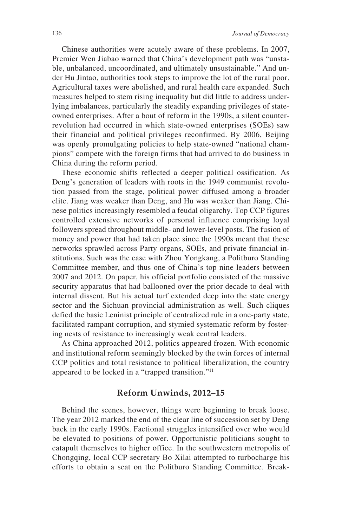Chinese authorities were acutely aware of these problems. In 2007, Premier Wen Jiabao warned that China's development path was "unstable, unbalanced, uncoordinated, and ultimately unsustainable." And under Hu Jintao, authorities took steps to improve the lot of the rural poor. Agricultural taxes were abolished, and rural health care expanded. Such measures helped to stem rising inequality but did little to address underlying imbalances, particularly the steadily expanding privileges of stateowned enterprises. After a bout of reform in the 1990s, a silent counterrevolution had occurred in which state-owned enterprises (SOEs) saw their financial and political privileges reconfirmed. By 2006, Beijing was openly promulgating policies to help state-owned "national champions" compete with the foreign firms that had arrived to do business in China during the reform period.

These economic shifts reflected a deeper political ossification. As Deng's generation of leaders with roots in the 1949 communist revolution passed from the stage, political power diffused among a broader elite. Jiang was weaker than Deng, and Hu was weaker than Jiang. Chinese politics increasingly resembled a feudal oligarchy. Top CCP figures controlled extensive networks of personal influence comprising loyal followers spread throughout middle- and lower-level posts. The fusion of money and power that had taken place since the 1990s meant that these networks sprawled across Party organs, SOEs, and private financial institutions. Such was the case with Zhou Yongkang, a Politburo Standing Committee member, and thus one of China's top nine leaders between 2007 and 2012. On paper, his official portfolio consisted of the massive security apparatus that had ballooned over the prior decade to deal with internal dissent. But his actual turf extended deep into the state energy sector and the Sichuan provincial administration as well. Such cliques defied the basic Leninist principle of centralized rule in a one-party state, facilitated rampant corruption, and stymied systematic reform by fostering nests of resistance to increasingly weak central leaders.

As China approached 2012, politics appeared frozen. With economic and institutional reform seemingly blocked by the twin forces of internal CCP politics and total resistance to political liberalization, the country appeared to be locked in a "trapped transition."11

#### **Reform Unwinds, 2012–15**

Behind the scenes, however, things were beginning to break loose. The year 2012 marked the end of the clear line of succession set by Deng back in the early 1990s. Factional struggles intensified over who would be elevated to positions of power. Opportunistic politicians sought to catapult themselves to higher office. In the southwestern metropolis of Chongqing, local CCP secretary Bo Xilai attempted to turbocharge his efforts to obtain a seat on the Politburo Standing Committee. Break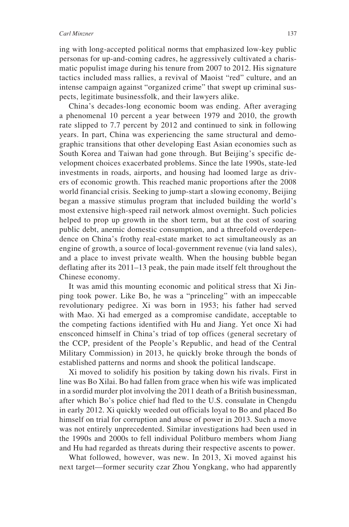ing with long-accepted political norms that emphasized low-key public personas for up-and-coming cadres, he aggressively cultivated a charismatic populist image during his tenure from 2007 to 2012. His signature tactics included mass rallies, a revival of Maoist "red" culture, and an intense campaign against "organized crime" that swept up criminal suspects, legitimate businessfolk, and their lawyers alike.

China's decades-long economic boom was ending. After averaging a phenomenal 10 percent a year between 1979 and 2010, the growth rate slipped to 7.7 percent by 2012 and continued to sink in following years. In part, China was experiencing the same structural and demographic transitions that other developing East Asian economies such as South Korea and Taiwan had gone through. But Beijing's specific development choices exacerbated problems. Since the late 1990s, state-led investments in roads, airports, and housing had loomed large as drivers of economic growth. This reached manic proportions after the 2008 world financial crisis. Seeking to jump-start a slowing economy, Beijing began a massive stimulus program that included building the world's most extensive high-speed rail network almost overnight. Such policies helped to prop up growth in the short term, but at the cost of soaring public debt, anemic domestic consumption, and a threefold overdependence on China's frothy real-estate market to act simultaneously as an engine of growth, a source of local-government revenue (via land sales), and a place to invest private wealth. When the housing bubble began deflating after its 2011–13 peak, the pain made itself felt throughout the Chinese economy.

It was amid this mounting economic and political stress that Xi Jinping took power. Like Bo, he was a "princeling" with an impeccable revolutionary pedigree. Xi was born in 1953; his father had served with Mao. Xi had emerged as a compromise candidate, acceptable to the competing factions identified with Hu and Jiang. Yet once Xi had ensconced himself in China's triad of top offices (general secretary of the CCP, president of the People's Republic, and head of the Central Military Commission) in 2013, he quickly broke through the bonds of established patterns and norms and shook the political landscape.

Xi moved to solidify his position by taking down his rivals. First in line was Bo Xilai. Bo had fallen from grace when his wife was implicated in a sordid murder plot involving the 2011 death of a British businessman, after which Bo's police chief had fled to the U.S. consulate in Chengdu in early 2012. Xi quickly weeded out officials loyal to Bo and placed Bo himself on trial for corruption and abuse of power in 2013. Such a move was not entirely unprecedented. Similar investigations had been used in the 1990s and 2000s to fell individual Politburo members whom Jiang and Hu had regarded as threats during their respective ascents to power.

What followed, however, was new. In 2013, Xi moved against his next target—former security czar Zhou Yongkang, who had apparently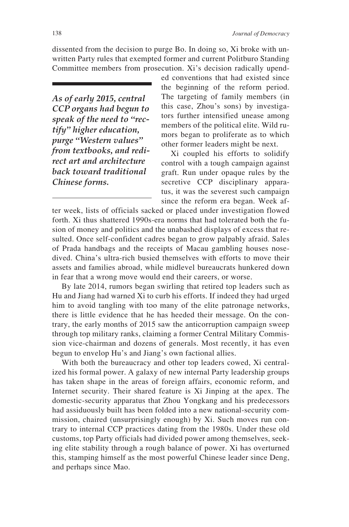dissented from the decision to purge Bo. In doing so, Xi broke with unwritten Party rules that exempted former and current Politburo Standing Committee members from prosecution. Xi's decision radically upend-

*As of early 2015, central CCP organs had begun to speak of the need to "rectify" higher education, purge "Western values" from textbooks, and redirect art and architecture back toward traditional Chinese forms.*

ed conventions that had existed since the beginning of the reform period. The targeting of family members (in this case, Zhou's sons) by investigators further intensified unease among members of the political elite. Wild rumors began to proliferate as to which other former leaders might be next.

Xi coupled his efforts to solidify control with a tough campaign against graft. Run under opaque rules by the secretive CCP disciplinary apparatus, it was the severest such campaign since the reform era began. Week af-

ter week, lists of officials sacked or placed under investigation flowed forth. Xi thus shattered 1990s-era norms that had tolerated both the fusion of money and politics and the unabashed displays of excess that resulted. Once self-confident cadres began to grow palpably afraid. Sales of Prada handbags and the receipts of Macau gambling houses nosedived. China's ultra-rich busied themselves with efforts to move their assets and families abroad, while midlevel bureaucrats hunkered down in fear that a wrong move would end their careers, or worse.

By late 2014, rumors began swirling that retired top leaders such as Hu and Jiang had warned Xi to curb his efforts. If indeed they had urged him to avoid tangling with too many of the elite patronage networks, there is little evidence that he has heeded their message. On the contrary, the early months of 2015 saw the anticorruption campaign sweep through top military ranks, claiming a former Central Military Commission vice-chairman and dozens of generals. Most recently, it has even begun to envelop Hu's and Jiang's own factional allies.

With both the bureaucracy and other top leaders cowed, Xi centralized his formal power. A galaxy of new internal Party leadership groups has taken shape in the areas of foreign affairs, economic reform, and Internet security. Their shared feature is Xi Jinping at the apex. The domestic-security apparatus that Zhou Yongkang and his predecessors had assiduously built has been folded into a new national-security commission, chaired (unsurprisingly enough) by Xi. Such moves run contrary to internal CCP practices dating from the 1980s. Under these old customs, top Party officials had divided power among themselves, seeking elite stability through a rough balance of power. Xi has overturned this, stamping himself as the most powerful Chinese leader since Deng, and perhaps since Mao.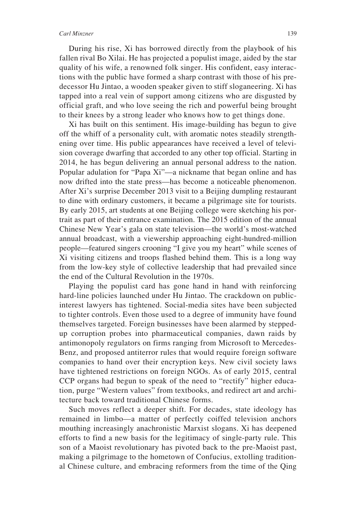During his rise, Xi has borrowed directly from the playbook of his fallen rival Bo Xilai. He has projected a populist image, aided by the star quality of his wife, a renowned folk singer. His confident, easy interactions with the public have formed a sharp contrast with those of his predecessor Hu Jintao, a wooden speaker given to stiff sloganeering. Xi has tapped into a real vein of support among citizens who are disgusted by official graft, and who love seeing the rich and powerful being brought to their knees by a strong leader who knows how to get things done.

Xi has built on this sentiment. His image-building has begun to give off the whiff of a personality cult, with aromatic notes steadily strengthening over time. His public appearances have received a level of television coverage dwarfing that accorded to any other top official. Starting in 2014, he has begun delivering an annual personal address to the nation. Popular adulation for "Papa Xi"—a nickname that began online and has now drifted into the state press—has become a noticeable phenomenon. After Xi's surprise December 2013 visit to a Beijing dumpling restaurant to dine with ordinary customers, it became a pilgrimage site for tourists. By early 2015, art students at one Beijing college were sketching his portrait as part of their entrance examination. The 2015 edition of the annual Chinese New Year's gala on state television—the world's most-watched annual broadcast, with a viewership approaching eight-hundred-million people—featured singers crooning "I give you my heart" while scenes of Xi visiting citizens and troops flashed behind them. This is a long way from the low-key style of collective leadership that had prevailed since the end of the Cultural Revolution in the 1970s.

Playing the populist card has gone hand in hand with reinforcing hard-line policies launched under Hu Jintao. The crackdown on publicinterest lawyers has tightened. Social-media sites have been subjected to tighter controls. Even those used to a degree of immunity have found themselves targeted. Foreign businesses have been alarmed by steppedup corruption probes into pharmaceutical companies, dawn raids by antimonopoly regulators on firms ranging from Microsoft to Mercedes-Benz, and proposed antiterror rules that would require foreign software companies to hand over their encryption keys. New civil society laws have tightened restrictions on foreign NGOs. As of early 2015, central CCP organs had begun to speak of the need to "rectify" higher education, purge "Western values" from textbooks, and redirect art and architecture back toward traditional Chinese forms.

Such moves reflect a deeper shift. For decades, state ideology has remained in limbo—a matter of perfectly coiffed television anchors mouthing increasingly anachronistic Marxist slogans. Xi has deepened efforts to find a new basis for the legitimacy of single-party rule. This son of a Maoist revolutionary has pivoted back to the pre-Maoist past, making a pilgrimage to the hometown of Confucius, extolling traditional Chinese culture, and embracing reformers from the time of the Qing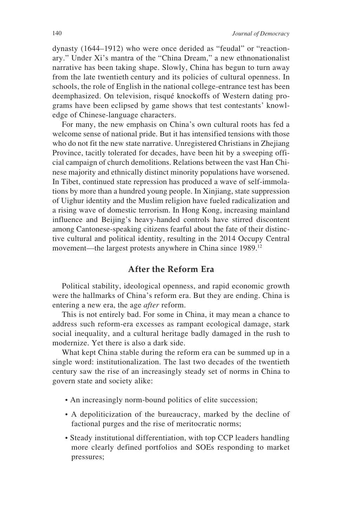dynasty (1644–1912) who were once derided as "feudal" or "reactionary." Under Xi's mantra of the "China Dream," a new ethnonationalist narrative has been taking shape. Slowly, China has begun to turn away from the late twentieth century and its policies of cultural openness. In schools, the role of English in the national college-entrance test has been deemphasized. On television, risqué knockoffs of Western dating programs have been eclipsed by game shows that test contestants' knowledge of Chinese-language characters.

For many, the new emphasis on China's own cultural roots has fed a welcome sense of national pride. But it has intensified tensions with those who do not fit the new state narrative. Unregistered Christians in Zhejiang Province, tacitly tolerated for decades, have been hit by a sweeping official campaign of church demolitions. Relations between the vast Han Chinese majority and ethnically distinct minority populations have worsened. In Tibet, continued state repression has produced a wave of self-immolations by more than a hundred young people. In Xinjiang, state suppression of Uighur identity and the Muslim religion have fueled radicalization and a rising wave of domestic terrorism. In Hong Kong, increasing mainland influence and Beijing's heavy-handed controls have stirred discontent among Cantonese-speaking citizens fearful about the fate of their distinctive cultural and political identity, resulting in the 2014 Occupy Central movement—the largest protests anywhere in China since 1989.12

#### **After the Reform Era**

Political stability, ideological openness, and rapid economic growth were the hallmarks of China's reform era. But they are ending. China is entering a new era, the age *after* reform.

This is not entirely bad. For some in China, it may mean a chance to address such reform-era excesses as rampant ecological damage, stark social inequality, and a cultural heritage badly damaged in the rush to modernize. Yet there is also a dark side.

What kept China stable during the reform era can be summed up in a single word: institutionalization. The last two decades of the twentieth century saw the rise of an increasingly steady set of norms in China to govern state and society alike:

- An increasingly norm-bound politics of elite succession;
- A depoliticization of the bureaucracy, marked by the decline of factional purges and the rise of meritocratic norms;
- Steady institutional differentiation, with top CCP leaders handling more clearly defined portfolios and SOEs responding to market pressures;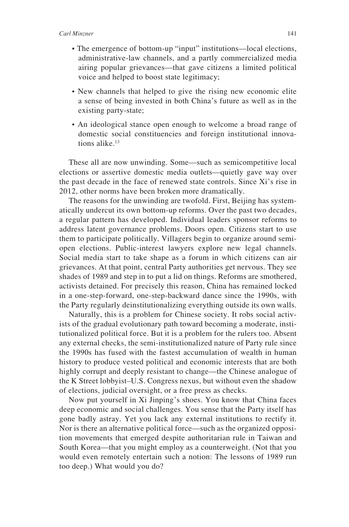- The emergence of bottom-up "input" institutions—local elections, administrative-law channels, and a partly commercialized media airing popular grievances—that gave citizens a limited political voice and helped to boost state legitimacy;
- New channels that helped to give the rising new economic elite a sense of being invested in both China's future as well as in the existing party-state;
- An ideological stance open enough to welcome a broad range of domestic social constituencies and foreign institutional innovations alike.13

These all are now unwinding. Some—such as semicompetitive local elections or assertive domestic media outlets—quietly gave way over the past decade in the face of renewed state controls. Since Xi's rise in 2012, other norms have been broken more dramatically.

The reasons for the unwinding are twofold. First, Beijing has systematically undercut its own bottom-up reforms. Over the past two decades, a regular pattern has developed. Individual leaders sponsor reforms to address latent governance problems. Doors open. Citizens start to use them to participate politically. Villagers begin to organize around semiopen elections. Public-interest lawyers explore new legal channels. Social media start to take shape as a forum in which citizens can air grievances. At that point, central Party authorities get nervous. They see shades of 1989 and step in to put a lid on things. Reforms are smothered, activists detained. For precisely this reason, China has remained locked in a one-step-forward, one-step-backward dance since the 1990s, with the Party regularly deinstitutionalizing everything outside its own walls.

Naturally, this is a problem for Chinese society. It robs social activists of the gradual evolutionary path toward becoming a moderate, institutionalized political force. But it is a problem for the rulers too. Absent any external checks, the semi-institutionalized nature of Party rule since the 1990s has fused with the fastest accumulation of wealth in human history to produce vested political and economic interests that are both highly corrupt and deeply resistant to change—the Chinese analogue of the K Street lobbyist–U.S. Congress nexus, but without even the shadow of elections, judicial oversight, or a free press as checks.

Now put yourself in Xi Jinping's shoes. You know that China faces deep economic and social challenges. You sense that the Party itself has gone badly astray. Yet you lack any external institutions to rectify it. Nor is there an alternative political force—such as the organized opposition movements that emerged despite authoritarian rule in Taiwan and South Korea—that you might employ as a counterweight. (Not that you would even remotely entertain such a notion: The lessons of 1989 run too deep.) What would you do?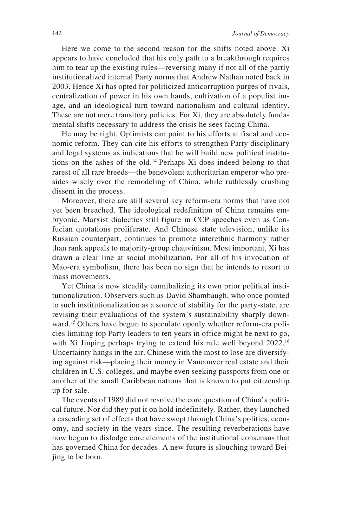Here we come to the second reason for the shifts noted above. Xi appears to have concluded that his only path to a breakthrough requires him to tear up the existing rules—reversing many if not all of the partly institutionalized internal Party norms that Andrew Nathan noted back in 2003. Hence Xi has opted for politicized anticorruption purges of rivals, centralization of power in his own hands, cultivation of a populist image, and an ideological turn toward nationalism and cultural identity. These are not mere transitory policies. For Xi, they are absolutely fundamental shifts necessary to address the crisis he sees facing China.

He may be right. Optimists can point to his efforts at fiscal and economic reform. They can cite his efforts to strengthen Party disciplinary and legal systems as indications that he will build new political institutions on the ashes of the old.14 Perhaps Xi does indeed belong to that rarest of all rare breeds—the benevolent authoritarian emperor who presides wisely over the remodeling of China, while ruthlessly crushing dissent in the process.

Moreover, there are still several key reform-era norms that have not yet been breached. The ideological redefinition of China remains embryonic. Marxist dialectics still figure in CCP speeches even as Confucian quotations proliferate. And Chinese state television, unlike its Russian counterpart, continues to promote interethnic harmony rather than rank appeals to majority-group chauvinism. Most important, Xi has drawn a clear line at social mobilization. For all of his invocation of Mao-era symbolism, there has been no sign that he intends to resort to mass movements.

Yet China is now steadily cannibalizing its own prior political institutionalization. Observers such as David Shambaugh, who once pointed to such institutionalization as a source of stability for the party-state, are revising their evaluations of the system's sustainability sharply downward.15 Others have begun to speculate openly whether reform-era policies limiting top Party leaders to ten years in office might be next to go, with Xi Jinping perhaps trying to extend his rule well beyond 2022.<sup>16</sup> Uncertainty hangs in the air. Chinese with the most to lose are diversifying against risk—placing their money in Vancouver real estate and their children in U.S. colleges, and maybe even seeking passports from one or another of the small Caribbean nations that is known to put citizenship up for sale.

The events of 1989 did not resolve the core question of China's political future. Nor did they put it on hold indefinitely. Rather, they launched a cascading set of effects that have swept through China's politics, economy, and society in the years since. The resulting reverberations have now begun to dislodge core elements of the institutional consensus that has governed China for decades. A new future is slouching toward Beijing to be born.